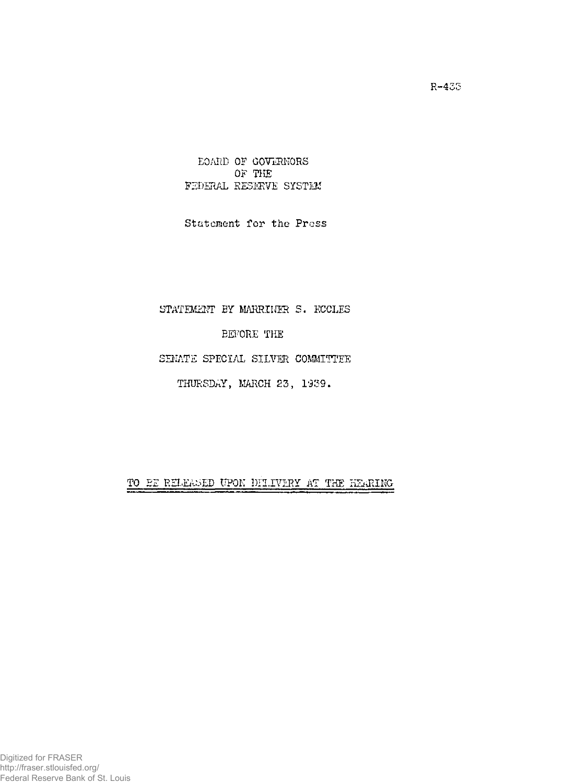BOARD OF GOVERNORS OF THE FEDERAL RESERVE SYSTEM

Statement for the Press

## STATEMENT BY MARRINER S. ECCLES

BEFORE THE

## SENATE SPECIAL SILVER COMMITTEE

THURSDAY, MARCH 23, 1939.

TO BE RELEASED UPON DELIVERY AT THE HEARING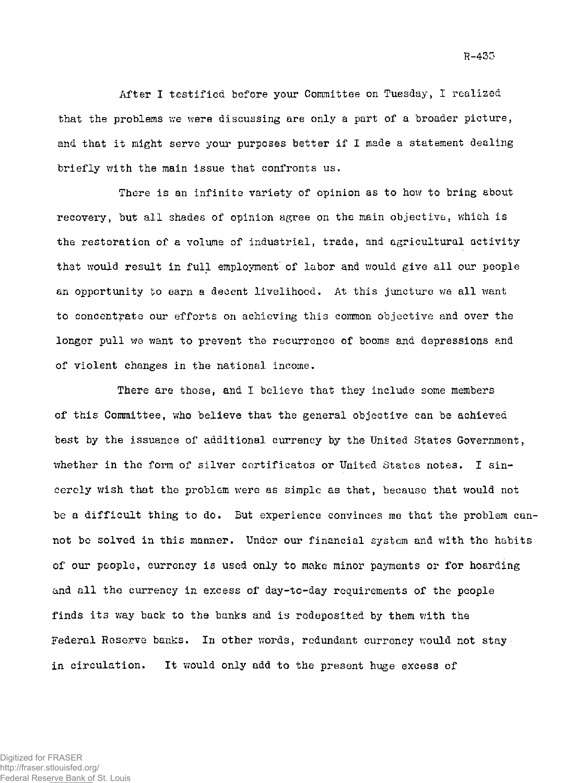After I testified before your Committee on Tuesday, I realized that the problems we were discussing are only a part of a broader picture, and that it might serve your purposes better if I made a statement dealing briefly with the main issue that confronts us.

There is an infinite variety of opinion as to how to bring about recovery, but all shades of opinion agree on the main objective, which is the restoration of a volume of industrial, trade, and agricultural activity that would result in full employment of labor and would give all our people an opportunity to earn a decent livelihood. At this juncture we all want to concentrate our efforts on achieving this common objective and over the longer pull we want to prevent the recurrence of booms and depressions and of violent changes in the national income.

There are those, and I believe that they include some members of this Committee, who believe that the general objective can be achieved best by the issuance of additional currency by the United States Government, whether in the form of silver certificates or United States notes. I sincerely wish that the problem were as simple as that, because that would not be a difficult thing to do. But experience convinces me that the problem cannot be solved in this manner. Under our financial system and with the habits of our people, currency is used only to make minor payments or for hoarding and all the currency in excess of day-to-day requirements of the people finds its way back to the banks and is redeposited by them with the Federal Reserve banks. In other words, redundant currency would not stay in circulation. It would only add to the present huge excess of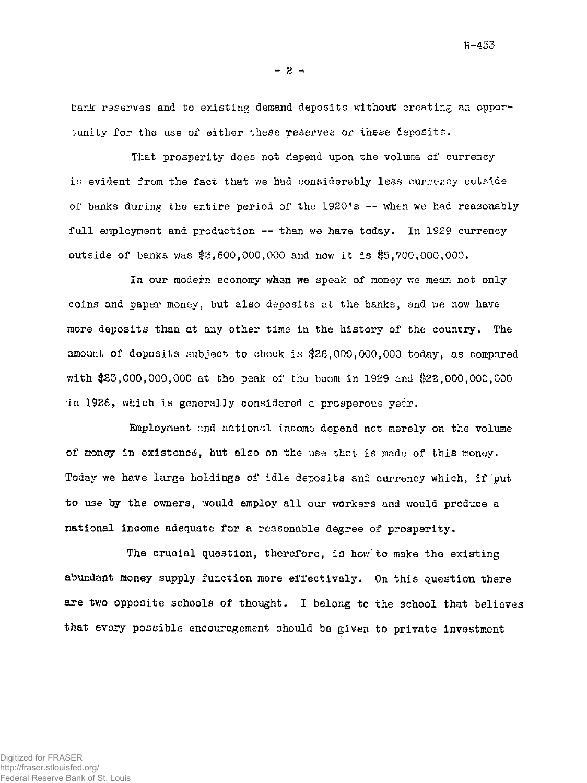R-433

 $-2 -$ 

bank reserves and to existing demand deposits without creating an opportunity for the use of either these reserves or these deposits.

That prosperity does not depend upon the volume of currency is evident from the fact that we had considerably less currency outside of banks during the entire period of the  $1920$ 's  $-$  when we had reasonably full employment and production -- than we have today. In 1929 currency outside of banks was \$3,600,000,000 and now it is \$5,?00,000,000.

In our modern economy when we speak of money we mean not only coins and paper money, but also deposits at the. banks, and we now have more deposits than at any other time in the history of the country. The amount of deposits subject to check is \$26,000,000,000 today, as compared with \$23,000,000,000 at the peak of tho boom in 1929 and \$22,000,000,000 in 1926, which is generally considered a prosperous yecr.

Employment and national income depend not merely on the volume of money in existence, but also on the use that is made of this money. Today we have large holdings of idle deposits and currency which, if put to use by the owners, would employ all our workers and would produce a national income adequate for a reasonable degree of prosperity.

The crucial question, therefore, is how to make the existing abundant money supply function more effectively. On this question there are two opposite schools of thought. I belong to the school that believes that every possible encouragement should be given to private investment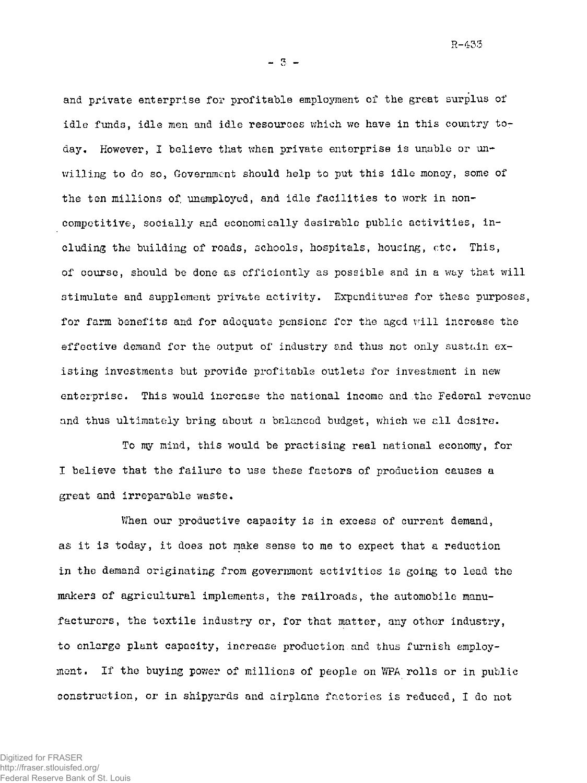R-433

 $-5-$ 

and private enterprise for profitable employment of the great surplus of idle funds, idle men and idle resources which we have in this country today. However, I believe that when private enterprise is unable or unwilling to do so, Government should help to put this idle money, some of the ten millions of, unemployed, and idle facilities to work in noncompetitive, socially and economically desirable public activities, including the building of roads, schools, hospitals, housing, etc. This, of course, should be done as efficiently as possible and in a way that will stimulate and supplement private activity. Expenditures for these purposes, for farm benefits and for adequate pensions for the aged will increase the effective demand for the output of industry and thus not only sustain existing investments but provide profitable outlets for investment in new enterprise. This would increase the national income and the Federal revenue and thus ultimately bring about a balanced budget, which we all desire.

To my mind, this would be practising real national economy, for I believe that the failure to use these factors of production causes a great and irreparable waste.

When our productive capacity is in excess of current demand, as it is today, it does not make sense to me to expect that a reduction in the demand originating from government activities is going to lead the makers of agricultural implements, the railroads, the automobile manufacturers, the textile industry or, for that matter, any other industry, to enlarge plant capacity, increase production.and thus furnish employment. If the buying power of millions of people on WPA rolls or in public construction, or in shipyards and airplane factories is reduced, I do not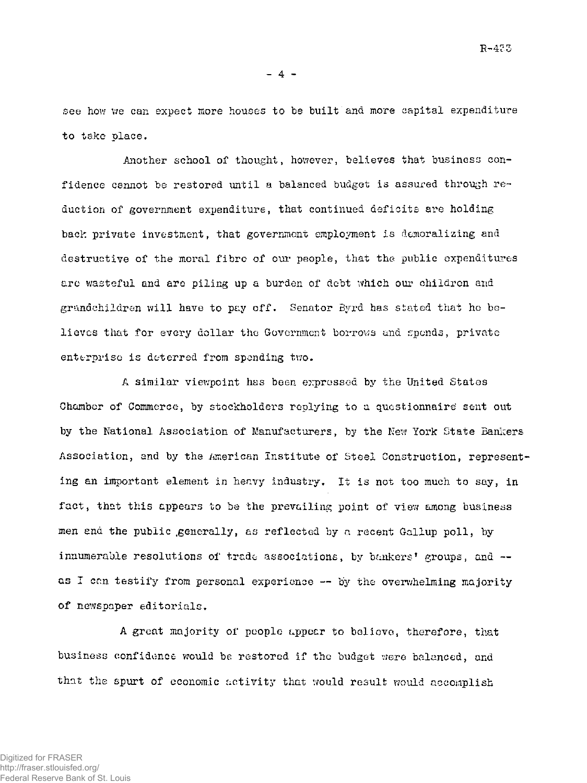$R - 475$ 

 $-4 -$ 

see how we can expect more houses to be built and more capital expenditure to take place.

Another school of thought, however, believes that business confidence cannot be restored until a balanced budget is assured through reduction of government expenditure, that continued deficits are holding back private investment, that government employment is demoralizing and destructive of the moral fibre of our people, that the public expenditures are wasteful and are piling up a burden of debt which our children and grandchildren will have to pay off. Senator Byrd has stated that he believes that for every dollar the Government borrows and spends, private enterprise is deterred from spending two.

A similar viewpoint has been expressed by the United States Chamber of Commerce, by stockholders replying to a questionnaire sent out by the National Association of Manufacturers, by the New York State Bankers Association, and by the American Institute of Steel Construction, representing an important element in heavy industry. It is not too much to say, in fact, that this appears to be the prevailing point of view among business men and the public generally, as reflected by a recent Gallup poll, by innumerable resolutions of trade associations, by bankers' groups, and -as I can testify from personal experience  $-$  by the overwhelming majority of newspaper editorials.

A great majority of people appear to believe, therefore, that business confidence would be restored if the budget were balanced, and that the spurt of economic activity that would result would accomplish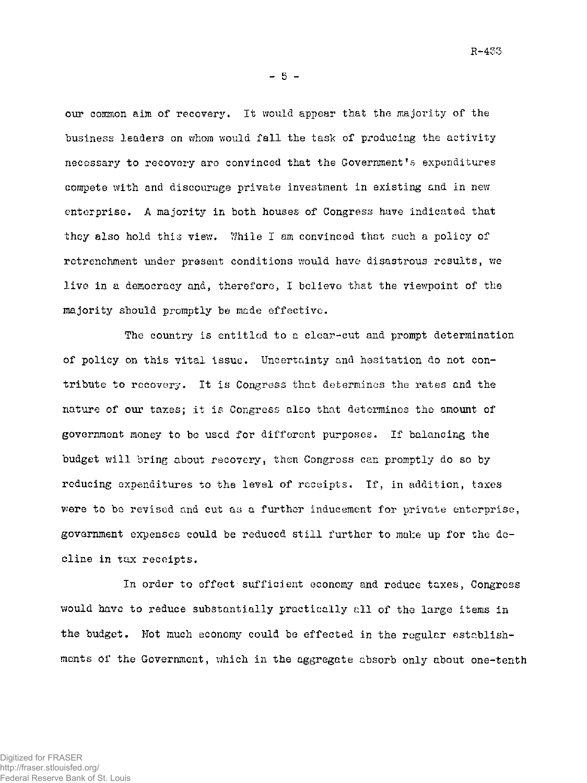R-433

 $-5 -$ 

our common aim of recovery. It would appear that the majority of the business leaders on whom would fall the task of producing the activity necessary to recovery are convinced that the Government's expenditures compete with and discourage private investment in existing and in new. enterprise. A majority in both houses of Congress have indicated that they also hold this view. While I am convinced that such a policy of retrenchment under present conditions would have disastrous results, we live in a democracy and, therefore, I believe that the viewpoint of the majority should promptly be made effective.

The country is entitled to a clear-cut and prompt determination of policy on this vital issue. Uncertainty and hesitation do not contribute to recovery. It is Congress that determines the rates and the nature of our taxes; it is Congress also that determines the amount of government money to be used for different purposes. If balancing the budget will bring about recovery, then Congress can promptly do so by reducing expenditures to the level of receipts. If, in addition, taxes were to be revised and cut as a further inducement for private enterprise, government expenses could be reduced still further to make up for the decline in tax receipts.

In order to effect sufficient economy and reduce taxes, Congress would have to reduce substantially practically all of the large items in the budget. Not much economy could be effected in the regular establishments of the Government, which in the aggregate absorb only about one-tenth